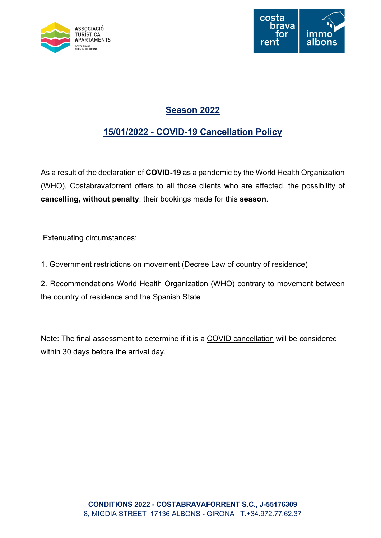



# Season 2022

# 15/01/2022 - COVID-19 Cancellation Policy

As a result of the declaration of COVID-19 as a pandemic by the World Health Organization (WHO), Costabravaforrent offers to all those clients who are affected, the possibility of cancelling, without penalty, their bookings made for this season.

Extenuating circumstances:

1. Government restrictions on movement (Decree Law of country of residence)

2. Recommendations World Health Organization (WHO) contrary to movement between the country of residence and the Spanish State

Note: The final assessment to determine if it is a COVID cancellation will be considered within 30 days before the arrival day.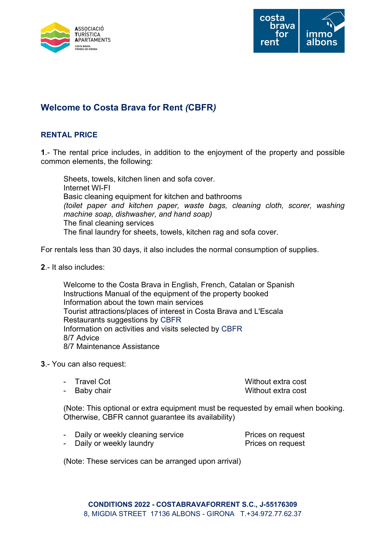



# Welcome to Costa Brava for Rent (CBFR)

## RENTAL PRICE

1.- The rental price includes, in addition to the enjoyment of the property and possible common elements, the following:

 Sheets, towels, kitchen linen and sofa cover. Internet WI-FI Basic cleaning equipment for kitchen and bathrooms (toilet paper and kitchen paper, waste bags, cleaning cloth, scorer, washing machine soap, dishwasher, and hand soap) The final cleaning services The final laundry for sheets, towels, kitchen rag and sofa cover.

For rentals less than 30 days, it also includes the normal consumption of supplies.

2.- It also includes:

 Welcome to the Costa Brava in English, French, Catalan or Spanish Instructions Manual of the equipment of the property booked Information about the town main services Tourist attractions/places of interest in Costa Brava and L'Escala Restaurants suggestions by CBFR Information on activities and visits selected by CBFR 8/7 Advice 8/7 Maintenance Assistance

- 3.- You can also request:
	- Travel Cot Without extra cost Baby chair **Baby chair Baby chair** Without extra cost
	-

 (Note: This optional or extra equipment must be requested by email when booking. Otherwise, CBFR cannot guarantee its availability)

| Daily or weekly cleaning service | Prices on request |
|----------------------------------|-------------------|
| - Daily or weekly laundry        | Prices on request |

(Note: These services can be arranged upon arrival)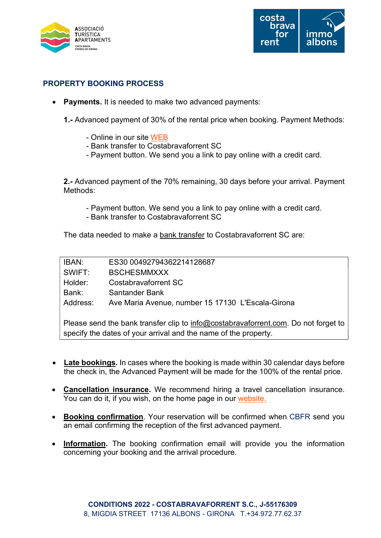



## PROPERTY BOOKING PROCESS

- Payments. It is needed to make two advanced payments:
	- 1.- Advanced payment of 30% of the rental price when booking. Payment Methods:
		- Online in our site WEB
		- Bank transfer to Costabravaforrent SC
		- Payment button. We send you a link to pay online with a credit card.

2.- Advanced payment of the 70% remaining, 30 days before your arrival. Payment Methods:

- Payment button. We send you a link to pay online with a credit card.
- Bank transfer to Costabravaforrent SC

The data needed to make a bank transfer to Costabravaforrent SC are:

| IBAN:    | ES30 00492794362214128687                         |
|----------|---------------------------------------------------|
| SWIFT:   | <b>BSCHESMMXXX</b>                                |
| Holder:  | Costabravaforrent SC                              |
| Bank:    | Santander Bank                                    |
| Address: | Ave Maria Avenue, number 15 17130 L'Escala-Girona |
|          |                                                   |

Please send the bank transfer clip to info@costabravaforrent.com. Do not forget to specify the dates of your arrival and the name of the property.

- Late bookings. In cases where the booking is made within 30 calendar days before the check in, the Advanced Payment will be made for the 100% of the rental price.
- Cancellation insurance. We recommend hiring a travel cancellation insurance. You can do it, if you wish, on the home page in our website.
- Booking confirmation. Your reservation will be confirmed when CBFR send you an email confirming the reception of the first advanced payment.
- Information. The booking confirmation email will provide you the information concerning your booking and the arrival procedure.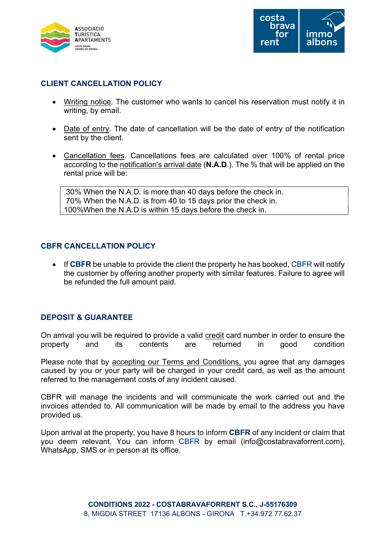



#### CLIENT CANCELLATION POLICY

- Writing notice. The customer who wants to cancel his reservation must notify it in writing, by email.
- Date of entry. The date of cancellation will be the date of entry of the notification sent by the client.
- Cancellation fees. Cancellations fees are calculated over 100% of rental price according to the notification's arrival date (N.A.D.). The % that will be applied on the rental price will be:

 30% When the N.A.D. is more than 40 days before the check in. 70% When the N.A.D. is from 40 to 15 days prior the check in. 100%When the N.A.D is within 15 days before the check in.

#### CBFR CANCELLATION POLICY

• If CBFR be unable to provide the client the property he has booked, CBFR will notify the customer by offering another property with similar features. Failure to agree will be refunded the full amount paid.

#### DEPOSIT & GUARANTEE

On arrival you will be required to provide a valid credit card number in order to ensure the property and its contents are returned in good condition

Please note that by accepting our Terms and Conditions, you agree that any damages caused by you or your party will be charged in your credit card, as well as the amount referred to the management costs of any incident caused.

CBFR will manage the incidents and will communicate the work carried out and the invoices attended to. All communication will be made by email to the address you have provided us.

Upon arrival at the property, you have 8 hours to inform CBFR of any incident or claim that you deem relevant. You can inform CBFR by email (info@costabravaforrent.com), WhatsApp, SMS or in person at its office.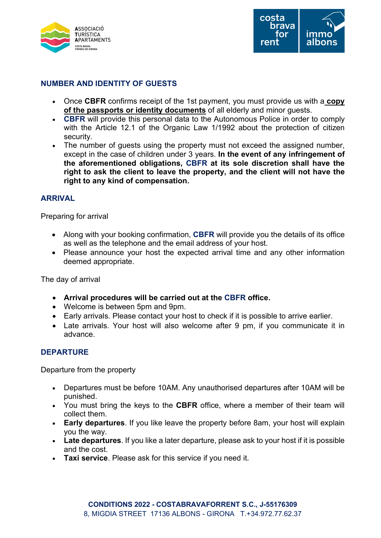



#### NUMBER AND IDENTITY OF GUESTS

- Once CBFR confirms receipt of the 1st payment, you must provide us with a copy of the passports or identity documents of all elderly and minor guests.
- **CBFR** will provide this personal data to the Autonomous Police in order to comply with the Article 12.1 of the Organic Law 1/1992 about the protection of citizen security.
- The number of quests using the property must not exceed the assigned number, except in the case of children under 3 years. In the event of any infringement of the aforementioned obligations, CBFR at its sole discretion shall have the right to ask the client to leave the property, and the client will not have the right to any kind of compensation.

#### ARRIVAL

Preparing for arrival

- Along with your booking confirmation, CBFR will provide you the details of its office as well as the telephone and the email address of your host.
- Please announce your host the expected arrival time and any other information deemed appropriate.

The day of arrival

- Arrival procedures will be carried out at the CBFR office.
- Welcome is between 5pm and 9pm.
- Early arrivals. Please contact your host to check if it is possible to arrive earlier.
- Late arrivals. Your host will also welcome after 9 pm, if you communicate it in advance.

#### DEPARTURE

Departure from the property

- Departures must be before 10AM. Any unauthorised departures after 10AM will be punished.
- You must bring the keys to the CBFR office, where a member of their team will collect them.
- Early departures. If you like leave the property before 8am, your host will explain you the way.
- Late departures. If you like a later departure, please ask to your host if it is possible and the cost.
- Taxi service. Please ask for this service if you need it.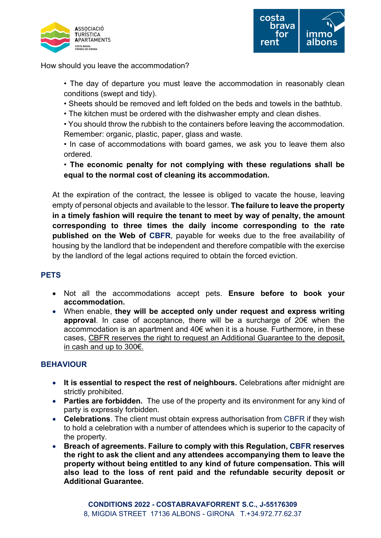



How should you leave the accommodation?

- The day of departure you must leave the accommodation in reasonably clean conditions (swept and tidy).
- Sheets should be removed and left folded on the beds and towels in the bathtub.
- The kitchen must be ordered with the dishwasher empty and clean dishes.

• You should throw the rubbish to the containers before leaving the accommodation. Remember: organic, plastic, paper, glass and waste.

• In case of accommodations with board games, we ask you to leave them also ordered.

• The economic penalty for not complying with these regulations shall be equal to the normal cost of cleaning its accommodation.

At the expiration of the contract, the lessee is obliged to vacate the house, leaving empty of personal objects and available to the lessor. The failure to leave the property in a timely fashion will require the tenant to meet by way of penalty, the amount corresponding to three times the daily income corresponding to the rate published on the Web of CBFR, payable for weeks due to the free availability of housing by the landlord that be independent and therefore compatible with the exercise by the landlord of the legal actions required to obtain the forced eviction.

## **PETS**

- Not all the accommodations accept pets. Ensure before to book your accommodation.
- When enable, they will be accepted only under request and express writing approval. In case of acceptance, there will be a surcharge of 20€ when the accommodation is an apartment and 40€ when it is a house. Furthermore, in these cases, CBFR reserves the right to request an Additional Guarantee to the deposit, in cash and up to 300€.

## **BEHAVIOUR**

- It is essential to respect the rest of neighbours. Celebrations after midnight are strictly prohibited.
- Parties are forbidden. The use of the property and its environment for any kind of party is expressly forbidden.
- Celebrations. The client must obtain express authorisation from CBFR if they wish to hold a celebration with a number of attendees which is superior to the capacity of the property.
- Breach of agreements. Failure to comply with this Regulation, CBFR reserves the right to ask the client and any attendees accompanying them to leave the property without being entitled to any kind of future compensation. This will also lead to the loss of rent paid and the refundable security deposit or Additional Guarantee.